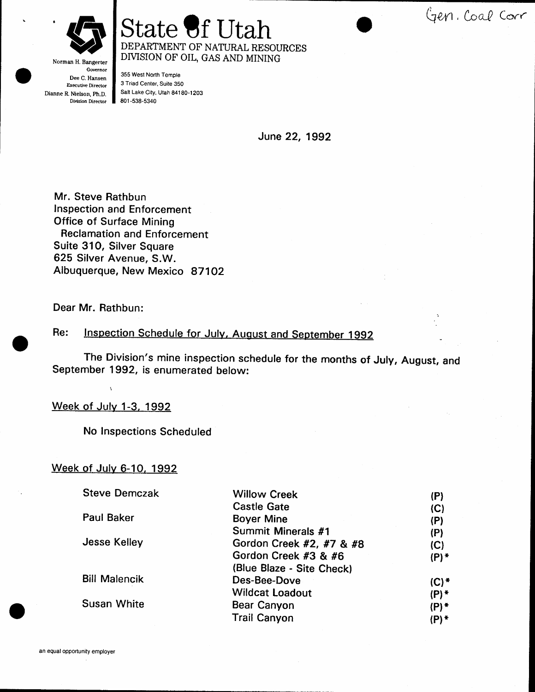Gen. Coal Corr



Norman H. Bangerter

### State of Utah DEPARTMENT OF NATURAL RESOURCES DIVISION OF OIL, GAS AND MINING

Governor Dee C. Hansen Exeeutive Director Dianne R. Nielson, Ph.D. Division Director

355 West North Temple 3 Triad Center, Suite 350 Salt Lake City, Utah 84180-1203 80r -538-5340

June 22, 1992

Mr. Steve Rathbun Inspection and Enforcernent Office of Surface Mining Reclamation and Enforcement Suite 31O, Silver Square 625 Silver Avenue, S.W. Albuquerque, New Mexico 87102

Dear Mr. Rathbun:

Inspection Schedule for July, August and September 1992 Re:

The Division's mine inspection schedule for the months of July, August, and September 1992, is enumerated below:

#### Week of July 1-3, 1992

!

No Inspections Scheduled

#### Week of July 6-10, 1992

| <b>Steve Demczak</b> | <b>Willow Creek</b>       | (P)     |
|----------------------|---------------------------|---------|
|                      | <b>Castle Gate</b>        | (C)     |
| <b>Paul Baker</b>    | <b>Boyer Mine</b>         | (P)     |
|                      | Summit Minerals #1        | (P)     |
| Jesse Kelley         | Gordon Creek #2, #7 & #8  | (C)     |
|                      | Gordon Creek #3 & #6      | $(P)$ * |
|                      | (Blue Blaze - Site Check) |         |
| <b>Bill Malencik</b> | Des-Bee-Dove              | $(C)$ * |
|                      | <b>Wildcat Loadout</b>    | $(P)$ * |
| <b>Susan White</b>   | Bear Canyon               | $(P)$ * |
|                      | <b>Trail Canyon</b>       | $(P)$ * |
|                      |                           |         |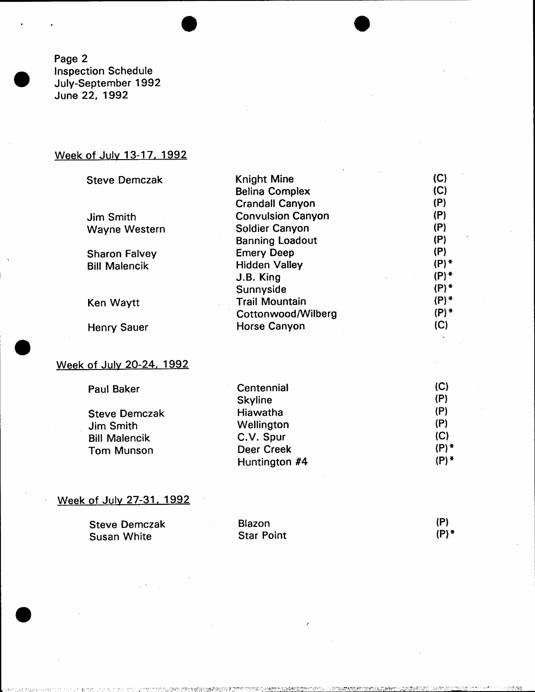Page 2 Inspection Schedule July-September 1992 June 22, 1992

# Week of Julv 13-17, 1992

Steve

| <b>Steve Demczak</b> | <b>Knight Mine</b>       | (C)                |
|----------------------|--------------------------|--------------------|
|                      | <b>Belina Complex</b>    | (C)                |
|                      | <b>Crandall Canyon</b>   | (P)                |
| <b>Jim Smith</b>     | <b>Convulsion Canyon</b> | (P)                |
| <b>Wayne Western</b> | Soldier Canyon           | (P)                |
|                      | <b>Banning Loadout</b>   | (P)                |
| <b>Sharon Falvey</b> | <b>Emery Deep</b>        | (P)                |
| <b>Bill Malencik</b> | <b>Hidden Valley</b>     | $(P)$ *            |
|                      | J.B. King                | $(P)$ *            |
|                      | Sunnyside                | $(P)$ *            |
| Ken Waytt            | <b>Trail Mountain</b>    | $(P)$ <sup>*</sup> |
|                      | Cottonwood/Wilberg       | $(P)$ *            |
| <b>Henry Sauer</b>   | <b>Horse Canyon</b>      | (C)                |
|                      |                          |                    |

 $\sim$ 

#### Week of July 20-24, 1992

| <b>Paul Baker</b>    | Centennial     | (C)     |
|----------------------|----------------|---------|
|                      | <b>Skyline</b> | (P)     |
| <b>Steve Demczak</b> | Hiawatha       | (P)     |
| Jim Smith            | Wellington     | (P)     |
| <b>Bill Malencik</b> | C.V. Spur      | (C)     |
| <b>Tom Munson</b>    | Deer Creek     | $(P)$ * |
|                      | Huntington #4  | (P)*    |
|                      |                |         |

# Week of July 27-31, 1992

| <b>Steve Demczak</b> | Blazon            | (P)     |
|----------------------|-------------------|---------|
| <b>Susan White</b>   | <b>Star Point</b> | $(P)$ * |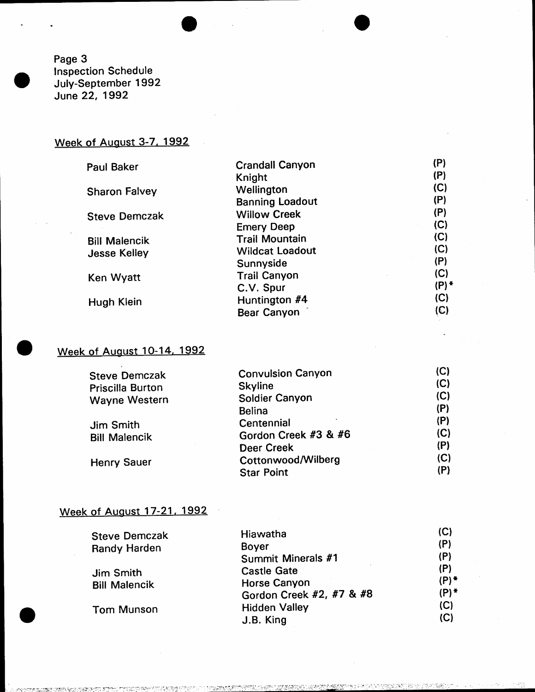Page 3 Inspection Schedule July-september 1992 June 22, 1992

# Week of August 3-7, 1992

| <b>Crandall Canyon</b> | (P)                            |
|------------------------|--------------------------------|
| Knight                 | (P)                            |
| Wellington             | (C)                            |
| <b>Banning Loadout</b> | (P)                            |
| <b>Willow Creek</b>    | (P)                            |
|                        | (C)                            |
| <b>Trail Mountain</b>  | (C)                            |
| <b>Wildcat Loadout</b> | (C)                            |
| Sunnyside              | (P)                            |
| <b>Trail Canyon</b>    | (C)                            |
|                        | $(P)$ *                        |
| Huntington #4          | (C)                            |
| <b>Bear Canyon</b>     | (C)                            |
|                        | <b>Emery Deep</b><br>C.V. Spur |

### Week of Auqust 1O-14. 1992

| <b>Steve Demczak</b>    | <b>Convulsion Canyon</b> | (C) |
|-------------------------|--------------------------|-----|
| <b>Priscilla Burton</b> | <b>Skyline</b>           | (C) |
| <b>Wayne Western</b>    | Soldier Canyon           | (C) |
|                         | <b>Belina</b>            | (P) |
| Jim Smith               | Centennial               | (P) |
| <b>Bill Malencik</b>    | Gordon Creek #3 & #6     | (C) |
|                         | <b>Deer Creek</b>        | (P) |
| <b>Henry Sauer</b>      | Cottonwood/Wilberg       | (C) |
|                         | <b>Star Point</b>        | (P) |

# Week of August 17-21, 1992

| <b>Steve Demczak</b> | Hiawatha                 | (C)     |
|----------------------|--------------------------|---------|
| Randy Harden         | <b>Boyer</b>             | (P)     |
|                      | Summit Minerals #1       | (P)     |
| Jim Smith            | <b>Castle Gate</b>       | (P)     |
| <b>Bill Malencik</b> | <b>Horse Canyon</b>      | $(P)$ * |
|                      | Gordon Creek #2, #7 & #8 | (P) *   |
| Tom Munson           | <b>Hidden Valley</b>     | (C)     |
|                      | J.B. King                | (C)     |
|                      |                          |         |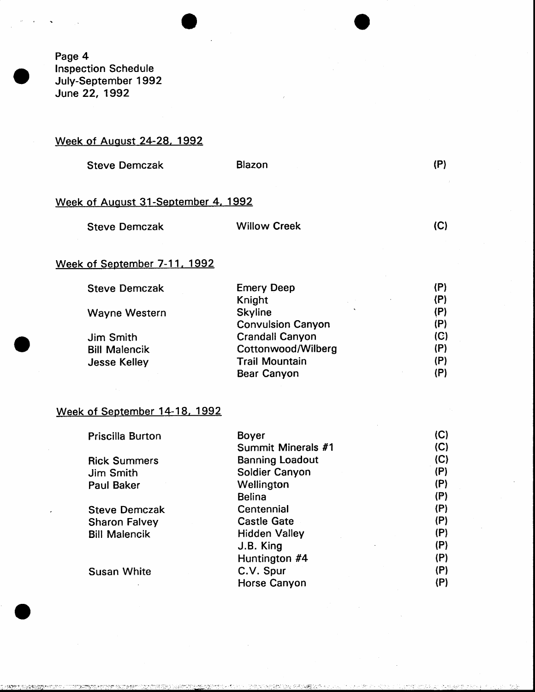Page 4 lnspection Schedule July-September 1992 June 22, 1992

#### Week of August 24-28, 1992

| <b>Steve Demczak</b> | Blazon |  |
|----------------------|--------|--|
|----------------------|--------|--|

#### Week of August 31-September 4, 1992

| <b>Steve Demczak</b> | <b>Willow Creek</b> | (C) |
|----------------------|---------------------|-----|
|                      |                     |     |

#### Week of September 7-11, 1992

| <b>Steve Demczak</b> | <b>Emery Deep</b>         | (P) |
|----------------------|---------------------------|-----|
|                      | Knight                    | (P) |
| Wayne Western        | $\cdot$<br><b>Skyline</b> | (P) |
|                      | <b>Convulsion Canyon</b>  | (P) |
| Jim Smith            | <b>Crandall Canyon</b>    | (C) |
| <b>Bill Malencik</b> | Cottonwood/Wilberg        | (P) |
| <b>Jesse Kelley</b>  | <b>Trail Mountain</b>     | (P) |
|                      | <b>Bear Canyon</b>        | (P) |
|                      |                           |     |

#### Week of September 14-18, 1992

| Priscilla Burton     | <b>Boyer</b>           | (C) |
|----------------------|------------------------|-----|
|                      | Summit Minerals #1     | (C) |
| <b>Rick Summers</b>  | <b>Banning Loadout</b> | (C) |
| Jim Smith            | Soldier Canyon         | (P) |
| <b>Paul Baker</b>    | Wellington             | (P) |
|                      | <b>Belina</b>          | (P) |
| <b>Steve Demczak</b> | Centennial             | (P) |
| <b>Sharon Falvey</b> | <b>Castle Gate</b>     | (P) |
| <b>Bill Malencik</b> | <b>Hidden Valley</b>   | (P) |
|                      | J.B. King              | (P) |
|                      | Huntington #4          | (P) |
| <b>Susan White</b>   | C.V. Spur              | (P) |
|                      | Horse Canyon           | (P) |

**JEANSTE-READONNES**